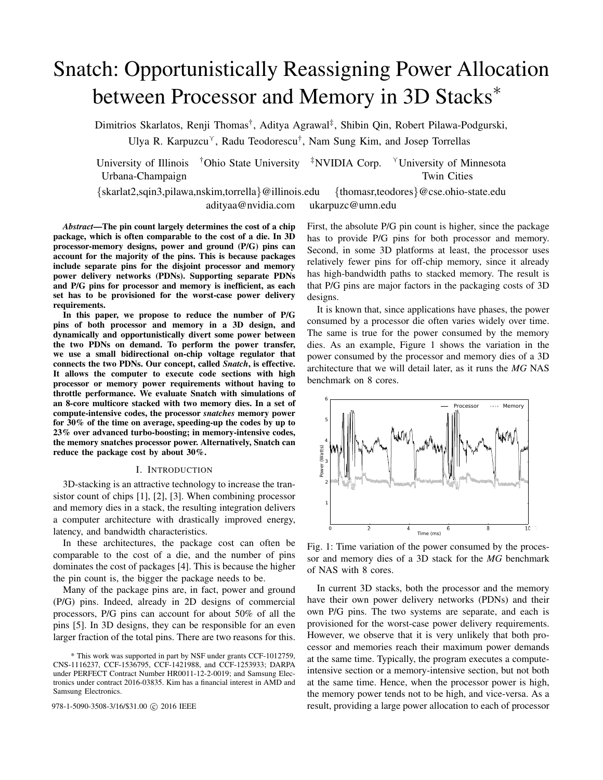# Snatch: Opportunistically Reassigning Power Allocation between Processor and Memory in 3D Stacks<sup>∗</sup>

Dimitrios Skarlatos, Renji Thomas†, Aditya Agrawal‡, Shibin Qin, Robert Pilawa-Podgurski,

Ulya R. Karpuzcu<sup> $\gamma$ </sup>, Radu Teodorescu<sup>†</sup>, Nam Sung Kim, and Josep Torrellas

University of Illinois  $\vec{\phi}$  Ohio State University  $\vec{\phi}$  NVIDIA Corp.  $\vec{\phi}$  University of Minnesota Urbana-Champaign Twin Cities **Twin Cities** Twin Cities

adityaa@nvidia.com ukarpuzc@umn.edu

{skarlat2,sqin3,pilawa,nskim,torrella}@illinois.edu {thomasr,teodores}@cse.ohio-state.edu

*Abstract*—The pin count largely determines the cost of a chip package, which is often comparable to the cost of a die. In 3D processor-memory designs, power and ground (P/G) pins can account for the majority of the pins. This is because packages include separate pins for the disjoint processor and memory power delivery networks (PDNs). Supporting separate PDNs and P/G pins for processor and memory is inefficient, as each set has to be provisioned for the worst-case power delivery requirements.

In this paper, we propose to reduce the number of P/G pins of both processor and memory in a 3D design, and dynamically and opportunistically divert some power between the two PDNs on demand. To perform the power transfer, we use a small bidirectional on-chip voltage regulator that connects the two PDNs. Our concept, called *Snatch*, is effective. It allows the computer to execute code sections with high processor or memory power requirements without having to throttle performance. We evaluate Snatch with simulations of an 8-core multicore stacked with two memory dies. In a set of compute-intensive codes, the processor *snatches* memory power for 30% of the time on average, speeding-up the codes by up to 23% over advanced turbo-boosting; in memory-intensive codes, the memory snatches processor power. Alternatively, Snatch can reduce the package cost by about 30%.

### I. INTRODUCTION

3D-stacking is an attractive technology to increase the transistor count of chips [1], [2], [3]. When combining processor and memory dies in a stack, the resulting integration delivers a computer architecture with drastically improved energy, latency, and bandwidth characteristics.

In these architectures, the package cost can often be comparable to the cost of a die, and the number of pins dominates the cost of packages [4]. This is because the higher the pin count is, the bigger the package needs to be.

Many of the package pins are, in fact, power and ground (P/G) pins. Indeed, already in 2D designs of commercial processors, P/G pins can account for about 50% of all the pins [5]. In 3D designs, they can be responsible for an even larger fraction of the total pins. There are two reasons for this.

First, the absolute P/G pin count is higher, since the package has to provide P/G pins for both processor and memory. Second, in some 3D platforms at least, the processor uses relatively fewer pins for off-chip memory, since it already has high-bandwidth paths to stacked memory. The result is that P/G pins are major factors in the packaging costs of 3D designs.

It is known that, since applications have phases, the power consumed by a processor die often varies widely over time. The same is true for the power consumed by the memory dies. As an example, Figure 1 shows the variation in the power consumed by the processor and memory dies of a 3D architecture that we will detail later, as it runs the *MG* NAS benchmark on 8 cores.



Fig. 1: Time variation of the power consumed by the processor and memory dies of a 3D stack for the *MG* benchmark of NAS with 8 cores.

In current 3D stacks, both the processor and the memory have their own power delivery networks (PDNs) and their own P/G pins. The two systems are separate, and each is provisioned for the worst-case power delivery requirements. However, we observe that it is very unlikely that both processor and memories reach their maximum power demands at the same time. Typically, the program executes a computeintensive section or a memory-intensive section, but not both at the same time. Hence, when the processor power is high, the memory power tends not to be high, and vice-versa. As a 978-1-5090-3508-3/16/\$31.00  $\odot$  2016 IEEE result, providing a large power allocation to each of processor

<sup>\*</sup> This work was supported in part by NSF under grants CCF-1012759, CNS-1116237, CCF-1536795, CCF-1421988, and CCF-1253933; DARPA under PERFECT Contract Number HR0011-12-2-0019; and Samsung Electronics under contract 2016-03835. Kim has a financial interest in AMD and Samsung Electronics.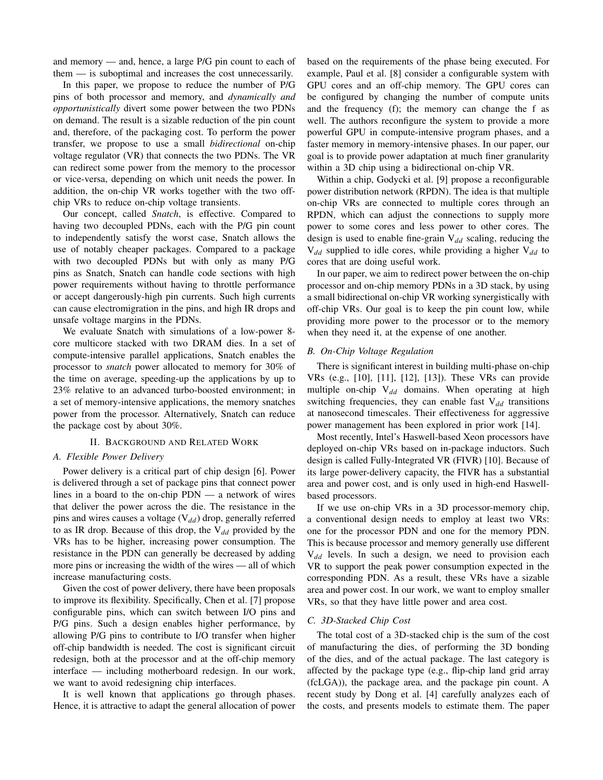and memory — and, hence, a large P/G pin count to each of them — is suboptimal and increases the cost unnecessarily.

In this paper, we propose to reduce the number of P/G pins of both processor and memory, and *dynamically and opportunistically* divert some power between the two PDNs on demand. The result is a sizable reduction of the pin count and, therefore, of the packaging cost. To perform the power transfer, we propose to use a small *bidirectional* on-chip voltage regulator (VR) that connects the two PDNs. The VR can redirect some power from the memory to the processor or vice-versa, depending on which unit needs the power. In addition, the on-chip VR works together with the two offchip VRs to reduce on-chip voltage transients.

Our concept, called *Snatch*, is effective. Compared to having two decoupled PDNs, each with the P/G pin count to independently satisfy the worst case, Snatch allows the use of notably cheaper packages. Compared to a package with two decoupled PDNs but with only as many P/G pins as Snatch, Snatch can handle code sections with high power requirements without having to throttle performance or accept dangerously-high pin currents. Such high currents can cause electromigration in the pins, and high IR drops and unsafe voltage margins in the PDNs.

We evaluate Snatch with simulations of a low-power 8 core multicore stacked with two DRAM dies. In a set of compute-intensive parallel applications, Snatch enables the processor to *snatch* power allocated to memory for 30% of the time on average, speeding-up the applications by up to 23% relative to an advanced turbo-boosted environment; in a set of memory-intensive applications, the memory snatches power from the processor. Alternatively, Snatch can reduce the package cost by about 30%.

# II. BACKGROUND AND RELATED WORK

### *A. Flexible Power Delivery*

Power delivery is a critical part of chip design [6]. Power is delivered through a set of package pins that connect power lines in a board to the on-chip PDN — a network of wires that deliver the power across the die. The resistance in the pins and wires causes a voltage (V*dd*) drop, generally referred to as IR drop. Because of this drop, the V*dd* provided by the VRs has to be higher, increasing power consumption. The resistance in the PDN can generally be decreased by adding more pins or increasing the width of the wires — all of which increase manufacturing costs.

Given the cost of power delivery, there have been proposals to improve its flexibility. Specifically, Chen et al. [7] propose configurable pins, which can switch between I/O pins and P/G pins. Such a design enables higher performance, by allowing P/G pins to contribute to I/O transfer when higher off-chip bandwidth is needed. The cost is significant circuit redesign, both at the processor and at the off-chip memory interface — including motherboard redesign. In our work, we want to avoid redesigning chip interfaces.

It is well known that applications go through phases. Hence, it is attractive to adapt the general allocation of power based on the requirements of the phase being executed. For example, Paul et al. [8] consider a configurable system with GPU cores and an off-chip memory. The GPU cores can be configured by changing the number of compute units and the frequency (f); the memory can change the f as well. The authors reconfigure the system to provide a more powerful GPU in compute-intensive program phases, and a faster memory in memory-intensive phases. In our paper, our goal is to provide power adaptation at much finer granularity within a 3D chip using a bidirectional on-chip VR.

Within a chip, Godycki et al. [9] propose a reconfigurable power distribution network (RPDN). The idea is that multiple on-chip VRs are connected to multiple cores through an RPDN, which can adjust the connections to supply more power to some cores and less power to other cores. The design is used to enable fine-grain V<sub>dd</sub> scaling, reducing the V*dd* supplied to idle cores, while providing a higher V*dd* to cores that are doing useful work.

In our paper, we aim to redirect power between the on-chip processor and on-chip memory PDNs in a 3D stack, by using a small bidirectional on-chip VR working synergistically with off-chip VRs. Our goal is to keep the pin count low, while providing more power to the processor or to the memory when they need it, at the expense of one another.

#### *B. On-Chip Voltage Regulation*

There is significant interest in building multi-phase on-chip VRs (e.g., [10], [11], [12], [13]). These VRs can provide multiple on-chip V*dd* domains. When operating at high switching frequencies, they can enable fast  $V_{dd}$  transitions at nanosecond timescales. Their effectiveness for aggressive power management has been explored in prior work [14].

Most recently, Intel's Haswell-based Xeon processors have deployed on-chip VRs based on in-package inductors. Such design is called Fully-Integrated VR (FIVR) [10]. Because of its large power-delivery capacity, the FIVR has a substantial area and power cost, and is only used in high-end Haswellbased processors.

If we use on-chip VRs in a 3D processor-memory chip, a conventional design needs to employ at least two VRs: one for the processor PDN and one for the memory PDN. This is because processor and memory generally use different V*dd* levels. In such a design, we need to provision each VR to support the peak power consumption expected in the corresponding PDN. As a result, these VRs have a sizable area and power cost. In our work, we want to employ smaller VRs, so that they have little power and area cost.

#### *C. 3D-Stacked Chip Cost*

The total cost of a 3D-stacked chip is the sum of the cost of manufacturing the dies, of performing the 3D bonding of the dies, and of the actual package. The last category is affected by the package type (e.g., flip-chip land grid array (fcLGA)), the package area, and the package pin count. A recent study by Dong et al. [4] carefully analyzes each of the costs, and presents models to estimate them. The paper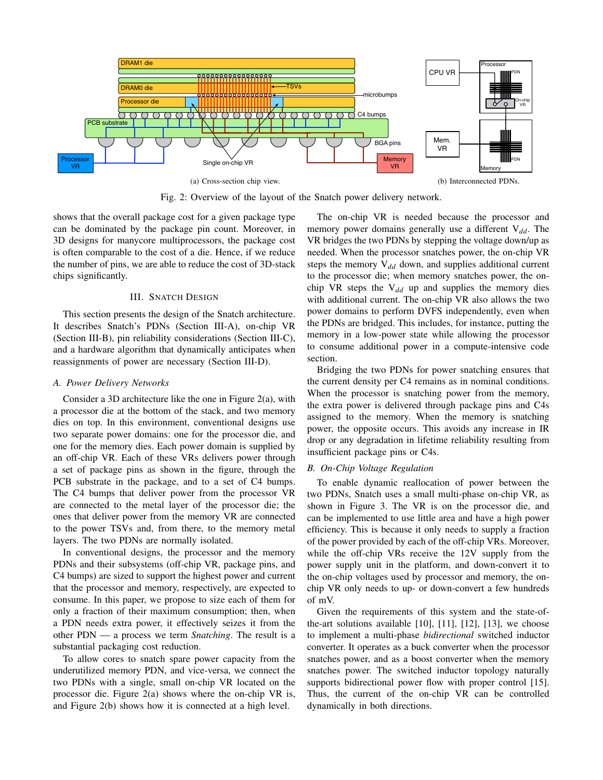

Fig. 2: Overview of the layout of the Snatch power delivery network.

shows that the overall package cost for a given package type can be dominated by the package pin count. Moreover, in 3D designs for manycore multiprocessors, the package cost is often comparable to the cost of a die. Hence, if we reduce the number of pins, we are able to reduce the cost of 3D-stack chips significantly.

### III. SNATCH DESIGN

This section presents the design of the Snatch architecture. It describes Snatch's PDNs (Section III-A), on-chip VR (Section III-B), pin reliability considerations (Section III-C), and a hardware algorithm that dynamically anticipates when reassignments of power are necessary (Section III-D).

### *A. Power Delivery Networks*

Consider a 3D architecture like the one in Figure 2(a), with a processor die at the bottom of the stack, and two memory dies on top. In this environment, conventional designs use two separate power domains: one for the processor die, and one for the memory dies. Each power domain is supplied by an off-chip VR. Each of these VRs delivers power through a set of package pins as shown in the figure, through the PCB substrate in the package, and to a set of C4 bumps. The C4 bumps that deliver power from the processor VR are connected to the metal layer of the processor die; the ones that deliver power from the memory VR are connected to the power TSVs and, from there, to the memory metal layers. The two PDNs are normally isolated.

In conventional designs, the processor and the memory PDNs and their subsystems (off-chip VR, package pins, and C4 bumps) are sized to support the highest power and current that the processor and memory, respectively, are expected to consume. In this paper, we propose to size each of them for only a fraction of their maximum consumption; then, when a PDN needs extra power, it effectively seizes it from the other PDN — a process we term *Snatching*. The result is a substantial packaging cost reduction.

To allow cores to snatch spare power capacity from the underutilized memory PDN, and vice-versa, we connect the two PDNs with a single, small on-chip VR located on the processor die. Figure 2(a) shows where the on-chip VR is, and Figure 2(b) shows how it is connected at a high level.

The on-chip VR is needed because the processor and memory power domains generally use a different  $V_{dd}$ . The VR bridges the two PDNs by stepping the voltage down/up as needed. When the processor snatches power, the on-chip VR steps the memory  $V_{dd}$  down, and supplies additional current to the processor die; when memory snatches power, the onchip VR steps the  $V_{dd}$  up and supplies the memory dies with additional current. The on-chip VR also allows the two power domains to perform DVFS independently, even when the PDNs are bridged. This includes, for instance, putting the memory in a low-power state while allowing the processor to consume additional power in a compute-intensive code section.

Bridging the two PDNs for power snatching ensures that the current density per C4 remains as in nominal conditions. When the processor is snatching power from the memory, the extra power is delivered through package pins and C4s assigned to the memory. When the memory is snatching power, the opposite occurs. This avoids any increase in IR drop or any degradation in lifetime reliability resulting from insufficient package pins or C4s.

### *B. On-Chip Voltage Regulation*

To enable dynamic reallocation of power between the two PDNs, Snatch uses a small multi-phase on-chip VR, as shown in Figure 3. The VR is on the processor die, and can be implemented to use little area and have a high power efficiency. This is because it only needs to supply a fraction of the power provided by each of the off-chip VRs. Moreover, while the off-chip VRs receive the 12V supply from the power supply unit in the platform, and down-convert it to the on-chip voltages used by processor and memory, the onchip VR only needs to up- or down-convert a few hundreds of mV.

Given the requirements of this system and the state-ofthe-art solutions available  $[10]$ ,  $[11]$ ,  $[12]$ ,  $[13]$ , we choose to implement a multi-phase *bidirectional* switched inductor converter. It operates as a buck converter when the processor snatches power, and as a boost converter when the memory snatches power. The switched inductor topology naturally supports bidirectional power flow with proper control [15]. Thus, the current of the on-chip VR can be controlled dynamically in both directions.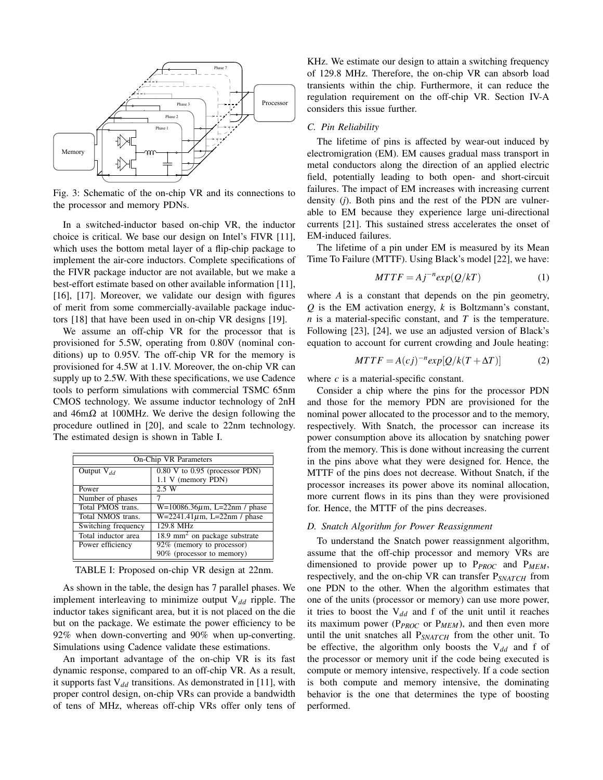

Fig. 3: Schematic of the on-chip VR and its connections to the processor and memory PDNs.

In a switched-inductor based on-chip VR, the inductor choice is critical. We base our design on Intel's FIVR [11], which uses the bottom metal layer of a flip-chip package to implement the air-core inductors. Complete specifications of the FIVR package inductor are not available, but we make a best-effort estimate based on other available information [11], [16], [17]. Moreover, we validate our design with figures of merit from some commercially-available package inductors [18] that have been used in on-chip VR designs [19].

We assume an off-chip VR for the processor that is provisioned for 5.5W, operating from 0.80V (nominal conditions) up to 0.95V. The off-chip VR for the memory is provisioned for 4.5W at 1.1V. Moreover, the on-chip VR can supply up to 2.5W. With these specifications, we use Cadence tools to perform simulations with commercial TSMC 65nm CMOS technology. We assume inductor technology of 2nH and  $46 \text{m}\Omega$  at 100MHz. We derive the design following the procedure outlined in [20], and scale to 22nm technology. The estimated design is shown in Table I.

| On-Chip VR Parameters                     |  |  |  |
|-------------------------------------------|--|--|--|
| 0.80 V to 0.95 (processor PDN)            |  |  |  |
| 1.1 V (memory PDN)                        |  |  |  |
| 2.5 W                                     |  |  |  |
|                                           |  |  |  |
| $W=10086.36 \mu m$ , L=22nm / phase       |  |  |  |
| $W = 2241.41 \mu m$ , L=22nm / phase      |  |  |  |
| 129.8 MHz                                 |  |  |  |
| 18.9 mm <sup>2</sup> on package substrate |  |  |  |
| 92% (memory to processor)                 |  |  |  |
| 90% (processor to memory)                 |  |  |  |
|                                           |  |  |  |

TABLE I: Proposed on-chip VR design at 22nm.

As shown in the table, the design has 7 parallel phases. We implement interleaving to minimize output  $V_{dd}$  ripple. The inductor takes significant area, but it is not placed on the die but on the package. We estimate the power efficiency to be 92% when down-converting and 90% when up-converting. Simulations using Cadence validate these estimations.

An important advantage of the on-chip VR is its fast dynamic response, compared to an off-chip VR. As a result, it supports fast  $V_{dd}$  transitions. As demonstrated in [11], with proper control design, on-chip VRs can provide a bandwidth of tens of MHz, whereas off-chip VRs offer only tens of

KHz. We estimate our design to attain a switching frequency of 129.8 MHz. Therefore, the on-chip VR can absorb load transients within the chip. Furthermore, it can reduce the regulation requirement on the off-chip VR. Section IV-A considers this issue further.

#### *C. Pin Reliability*

The lifetime of pins is affected by wear-out induced by electromigration (EM). EM causes gradual mass transport in metal conductors along the direction of an applied electric field, potentially leading to both open- and short-circuit failures. The impact of EM increases with increasing current density (*j*). Both pins and the rest of the PDN are vulnerable to EM because they experience large uni-directional currents [21]. This sustained stress accelerates the onset of EM-induced failures.

The lifetime of a pin under EM is measured by its Mean Time To Failure (MTTF). Using Black's model [22], we have:

$$
MTTF = Aj^{-n}exp(Q/kT)
$$
 (1)

where *A* is a constant that depends on the pin geometry, *Q* is the EM activation energy, *k* is Boltzmann's constant, *n* is a material-specific constant, and *T* is the temperature. Following [23], [24], we use an adjusted version of Black's equation to account for current crowding and Joule heating:

$$
MTTF = A(cj)^{-n} exp[Q/k(T + \Delta T)]
$$
 (2)

where *c* is a material-specific constant.

Consider a chip where the pins for the processor PDN and those for the memory PDN are provisioned for the nominal power allocated to the processor and to the memory, respectively. With Snatch, the processor can increase its power consumption above its allocation by snatching power from the memory. This is done without increasing the current in the pins above what they were designed for. Hence, the MTTF of the pins does not decrease. Without Snatch, if the processor increases its power above its nominal allocation, more current flows in its pins than they were provisioned for. Hence, the MTTF of the pins decreases.

# *D. Snatch Algorithm for Power Reassignment*

To understand the Snatch power reassignment algorithm, assume that the off-chip processor and memory VRs are dimensioned to provide power up to P*PROC* and P*MEM*, respectively, and the on-chip VR can transfer P*SNATCH* from one PDN to the other. When the algorithm estimates that one of the units (processor or memory) can use more power, it tries to boost the V*dd* and f of the unit until it reaches its maximum power (P*PROC* or P*MEM*), and then even more until the unit snatches all P*SNATCH* from the other unit. To be effective, the algorithm only boosts the V*dd* and f of the processor or memory unit if the code being executed is compute or memory intensive, respectively. If a code section is both compute and memory intensive, the dominating behavior is the one that determines the type of boosting performed.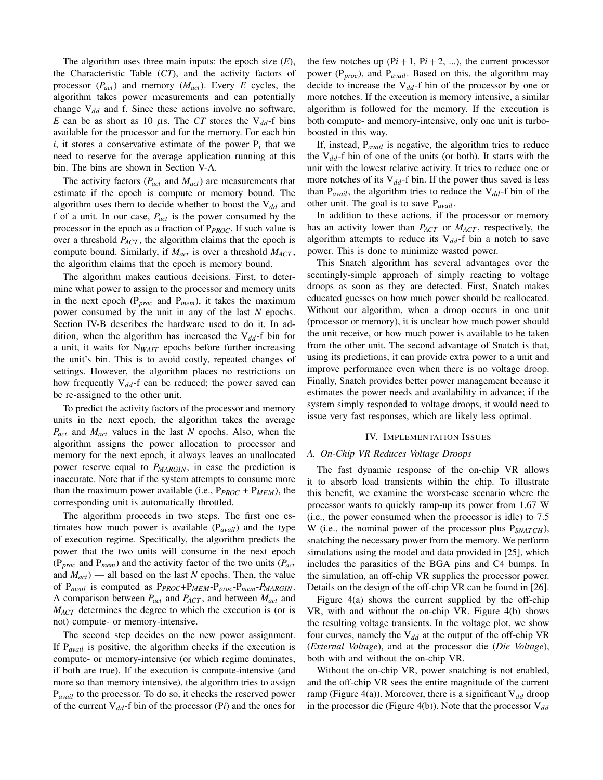The algorithm uses three main inputs: the epoch size (*E*), the Characteristic Table (*CT*), and the activity factors of processor (*Pact*) and memory (*Mact*). Every *E* cycles, the algorithm takes power measurements and can potentially change V*dd* and f. Since these actions involve no software, *E* can be as short as 10  $\mu$ s. The *CT* stores the V<sub>dd</sub>-f bins available for the processor and for the memory. For each bin *i*, it stores a conservative estimate of the power  $P_i$  that we need to reserve for the average application running at this bin. The bins are shown in Section V-A.

The activity factors (*Pact* and *Mact*) are measurements that estimate if the epoch is compute or memory bound. The algorithm uses them to decide whether to boost the V*dd* and f of a unit. In our case, *Pact* is the power consumed by the processor in the epoch as a fraction of P*PROC*. If such value is over a threshold *PACT* , the algorithm claims that the epoch is compute bound. Similarly, if  $M_{act}$  is over a threshold  $M_{ACT}$ , the algorithm claims that the epoch is memory bound.

The algorithm makes cautious decisions. First, to determine what power to assign to the processor and memory units in the next epoch (P*proc* and P*mem*), it takes the maximum power consumed by the unit in any of the last *N* epochs. Section IV-B describes the hardware used to do it. In addition, when the algorithm has increased the  $V_{dd}$ -f bin for a unit, it waits for N*WAIT* epochs before further increasing the unit's bin. This is to avoid costly, repeated changes of settings. However, the algorithm places no restrictions on how frequently  $V_{dd}$ -f can be reduced; the power saved can be re-assigned to the other unit.

To predict the activity factors of the processor and memory units in the next epoch, the algorithm takes the average *Pact* and *Mact* values in the last *N* epochs. Also, when the algorithm assigns the power allocation to processor and memory for the next epoch, it always leaves an unallocated power reserve equal to *PMARGIN*, in case the prediction is inaccurate. Note that if the system attempts to consume more than the maximum power available (i.e.,  $P_{PROC}$  +  $P_{MEM}$ ), the corresponding unit is automatically throttled.

The algorithm proceeds in two steps. The first one estimates how much power is available (P*avail*) and the type of execution regime. Specifically, the algorithm predicts the power that the two units will consume in the next epoch (P*proc* and P*mem*) and the activity factor of the two units (*Pact* and *Mact*) — all based on the last *N* epochs. Then, the value of P*avail* is computed as P*PROC*+P*MEM*-P*proc*-P*mem*-*PMARGIN*. A comparison between *Pact* and *PACT* , and between *Mact* and *M<sub>ACT</sub>* determines the degree to which the execution is (or is not) compute- or memory-intensive.

The second step decides on the new power assignment. If P*avail* is positive, the algorithm checks if the execution is compute- or memory-intensive (or which regime dominates, if both are true). If the execution is compute-intensive (and more so than memory intensive), the algorithm tries to assign P*avail* to the processor. To do so, it checks the reserved power of the current  $V_{dd}$ -f bin of the processor (P*i*) and the ones for the few notches up  $(Pi+1, Pi+2, ...)$ , the current processor power (P*proc*), and P*avail*. Based on this, the algorithm may decide to increase the  $V_{dd}$ -f bin of the processor by one or more notches. If the execution is memory intensive, a similar algorithm is followed for the memory. If the execution is both compute- and memory-intensive, only one unit is turboboosted in this way.

If, instead, P*avail* is negative, the algorithm tries to reduce the V*dd*-f bin of one of the units (or both). It starts with the unit with the lowest relative activity. It tries to reduce one or more notches of its  $V_{dd}$ -f bin. If the power thus saved is less than  $P_{avail}$ , the algorithm tries to reduce the  $V_{dd}$ -f bin of the other unit. The goal is to save P*avail*.

In addition to these actions, if the processor or memory has an activity lower than *P<sub>ACT</sub>* or *M<sub>ACT</sub>*, respectively, the algorithm attempts to reduce its  $V_{dd}$ -f bin a notch to save power. This is done to minimize wasted power.

This Snatch algorithm has several advantages over the seemingly-simple approach of simply reacting to voltage droops as soon as they are detected. First, Snatch makes educated guesses on how much power should be reallocated. Without our algorithm, when a droop occurs in one unit (processor or memory), it is unclear how much power should the unit receive, or how much power is available to be taken from the other unit. The second advantage of Snatch is that, using its predictions, it can provide extra power to a unit and improve performance even when there is no voltage droop. Finally, Snatch provides better power management because it estimates the power needs and availability in advance; if the system simply responded to voltage droops, it would need to issue very fast responses, which are likely less optimal.

#### IV. IMPLEMENTATION ISSUES

#### *A. On-Chip VR Reduces Voltage Droops*

The fast dynamic response of the on-chip VR allows it to absorb load transients within the chip. To illustrate this benefit, we examine the worst-case scenario where the processor wants to quickly ramp-up its power from 1.67 W (i.e., the power consumed when the processor is idle) to 7.5 W (i.e., the nominal power of the processor plus P*SNATCH*), snatching the necessary power from the memory. We perform simulations using the model and data provided in [25], which includes the parasitics of the BGA pins and C4 bumps. In the simulation, an off-chip VR supplies the processor power. Details on the design of the off-chip VR can be found in [26].

Figure 4(a) shows the current supplied by the off-chip VR, with and without the on-chip VR. Figure 4(b) shows the resulting voltage transients. In the voltage plot, we show four curves, namely the  $V_{dd}$  at the output of the off-chip VR (*External Voltage*), and at the processor die (*Die Voltage*), both with and without the on-chip VR.

Without the on-chip VR, power snatching is not enabled, and the off-chip VR sees the entire magnitude of the current ramp (Figure 4(a)). Moreover, there is a significant  $V_{dd}$  droop in the processor die (Figure 4(b)). Note that the processor  $V_{dd}$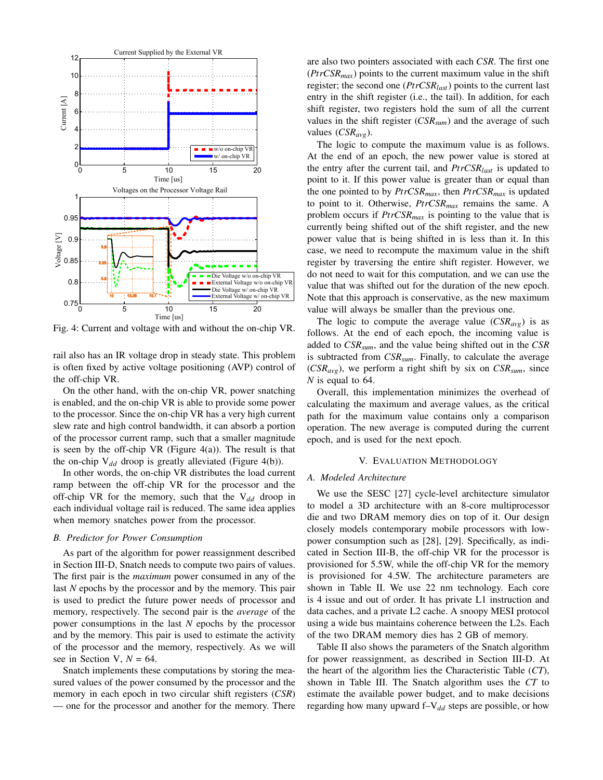

Fig. 4: Current and voltage with and without the on-chip VR.

rail also has an IR voltage drop in steady state. This problem is often fixed by active voltage positioning (AVP) control of the off-chip VR.

On the other hand, with the on-chip VR, power snatching is enabled, and the on-chip VR is able to provide some power to the processor. Since the on-chip VR has a very high current slew rate and high control bandwidth, it can absorb a portion of the processor current ramp, such that a smaller magnitude is seen by the off-chip  $VR$  (Figure 4(a)). The result is that the on-chip  $V_{dd}$  droop is greatly alleviated (Figure 4(b)).

In other words, the on-chip VR distributes the load current ramp between the off-chip VR for the processor and the off-chip VR for the memory, such that the V<sub>dd</sub> droop in each individual voltage rail is reduced. The same idea applies when memory snatches power from the processor.

# *B. Predictor for Power Consumption*

As part of the algorithm for power reassignment described in Section III-D, Snatch needs to compute two pairs of values. The first pair is the *maximum* power consumed in any of the last *N* epochs by the processor and by the memory. This pair is used to predict the future power needs of processor and memory, respectively. The second pair is the *average* of the power consumptions in the last *N* epochs by the processor and by the memory. This pair is used to estimate the activity of the processor and the memory, respectively. As we will see in Section V,  $N = 64$ .

Snatch implements these computations by storing the measured values of the power consumed by the processor and the memory in each epoch in two circular shift registers (*CSR*) — one for the processor and another for the memory. There are also two pointers associated with each *CSR*. The first one  $(PrCSR_{max})$  points to the current maximum value in the shift register; the second one (*PtrCSRlast*) points to the current last entry in the shift register (i.e., the tail). In addition, for each shift register, two registers hold the sum of all the current values in the shift register (*CSRsum*) and the average of such values (*CSRavg*).

The logic to compute the maximum value is as follows. At the end of an epoch, the new power value is stored at the entry after the current tail, and *PtrCSRlast* is updated to point to it. If this power value is greater than or equal than the one pointed to by *PtrCSRmax*, then *PtrCSRmax* is updated to point to it. Otherwise, *PtrCSRmax* remains the same. A problem occurs if *PtrCSRmax* is pointing to the value that is currently being shifted out of the shift register, and the new power value that is being shifted in is less than it. In this case, we need to recompute the maximum value in the shift register by traversing the entire shift register. However, we do not need to wait for this computation, and we can use the value that was shifted out for the duration of the new epoch. Note that this approach is conservative, as the new maximum value will always be smaller than the previous one.

The logic to compute the average value  $(CSR_{\text{ave}})$  is as follows. At the end of each epoch, the incoming value is added to *CSRsum*, and the value being shifted out in the *CSR* is subtracted from *CSRsum*. Finally, to calculate the average  $(CSR_{avg})$ , we perform a right shift by six on  $CSR_{sum}$ , since *N* is equal to 64.

Overall, this implementation minimizes the overhead of calculating the maximum and average values, as the critical path for the maximum value contains only a comparison operation. The new average is computed during the current epoch, and is used for the next epoch.

## V. EVALUATION METHODOLOGY

#### *A. Modeled Architecture*

We use the SESC [27] cycle-level architecture simulator to model a 3D architecture with an 8-core multiprocessor die and two DRAM memory dies on top of it. Our design closely models contemporary mobile processors with lowpower consumption such as [28], [29]. Specifically, as indicated in Section III-B, the off-chip VR for the processor is provisioned for 5.5W, while the off-chip VR for the memory is provisioned for 4.5W. The architecture parameters are shown in Table II. We use 22 nm technology. Each core is 4 issue and out of order. It has private L1 instruction and data caches, and a private L2 cache. A snoopy MESI protocol using a wide bus maintains coherence between the L2s. Each of the two DRAM memory dies has 2 GB of memory.

Table II also shows the parameters of the Snatch algorithm for power reassignment, as described in Section III-D. At the heart of the algorithm lies the Characteristic Table (*CT*), shown in Table III. The Snatch algorithm uses the *CT* to estimate the available power budget, and to make decisions regarding how many upward f–V*dd* steps are possible, or how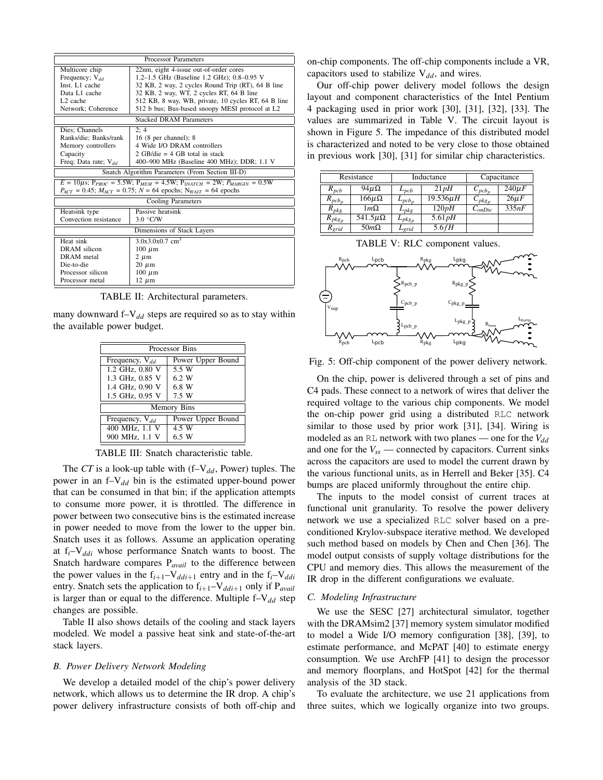| <b>Processor Parameters</b>                                                                                                                                                          |                                                     |  |  |
|--------------------------------------------------------------------------------------------------------------------------------------------------------------------------------------|-----------------------------------------------------|--|--|
| 22nm, eight 4-issue out-of-order cores<br>Multicore chip                                                                                                                             |                                                     |  |  |
| Frequency; $V_{dd}$                                                                                                                                                                  | 1.2-1.5 GHz (Baseline 1.2 GHz); 0.8-0.95 V          |  |  |
| Inst. L1 cache                                                                                                                                                                       | 32 KB, 2 way, 2 cycles Round Trip (RT), 64 B line   |  |  |
| Data L1 cache                                                                                                                                                                        | 32 KB, 2 way, WT, 2 cycles RT, 64 B line            |  |  |
| L <sub>2</sub> cache                                                                                                                                                                 | 512 KB, 8 way, WB, private, 10 cycles RT, 64 B line |  |  |
| Network; Coherence<br>512 b bus; Bus-based snoopy MESI protocol at L2                                                                                                                |                                                     |  |  |
|                                                                                                                                                                                      | <b>Stacked DRAM Parameters</b>                      |  |  |
| Dies: Channels                                                                                                                                                                       | 2:4                                                 |  |  |
| Ranks/die; Banks/rank                                                                                                                                                                | $16(8$ per channel); $8$                            |  |  |
| Memory controllers                                                                                                                                                                   | 4 Wide I/O DRAM controllers                         |  |  |
| Capacity                                                                                                                                                                             | 2 GB/die = $4$ GB total in stack                    |  |  |
| Freq; Data rate; $V_{dd}$                                                                                                                                                            | 400–900 MHz (Baseline 400 MHz); DDR; 1.1 V          |  |  |
|                                                                                                                                                                                      | Snatch Algorithm Parameters (From Section III-D)    |  |  |
| $E = 10 \mu s$ ; $P_{PROC} = 5.5 W$ ; $P_{MEM} = 4.5 W$ ; $P_{SNATCH} = 2 W$ ; $P_{MARGIN} = 0.5 W$<br>$P_{ACT} = 0.45$ ; $M_{ACT} = 0.75$ ; $N = 64$ epochs; $N_{WAIT} = 64$ epochs |                                                     |  |  |
|                                                                                                                                                                                      | <b>Cooling Parameters</b>                           |  |  |
| Heatsink type                                                                                                                                                                        | Passive heatsink                                    |  |  |
| Convection resistance                                                                                                                                                                | 3.0 °C/W                                            |  |  |
| Dimensions of Stack Layers                                                                                                                                                           |                                                     |  |  |
| Heat sink                                                                                                                                                                            | $3.0x3.0x0.7$ cm <sup>3</sup>                       |  |  |
| DRAM silicon                                                                                                                                                                         | $100 \mu m$                                         |  |  |
| DRAM metal                                                                                                                                                                           | $2 \mu m$                                           |  |  |
| Die-to-die                                                                                                                                                                           | $20 \mu m$                                          |  |  |
| Processor silicon                                                                                                                                                                    | $100 \mu m$                                         |  |  |
| Processor metal                                                                                                                                                                      | $12 \mu m$                                          |  |  |

TABLE II: Architectural parameters.

many downward f–V<sub>dd</sub> steps are required so as to stay within the available power budget.

| Processor Bins      |                   |  |  |
|---------------------|-------------------|--|--|
| Frequency, $V_{dd}$ | Power Upper Bound |  |  |
| 1.2 GHz, 0.80 V     | 5.5 W             |  |  |
| 1.3 GHz, 0.85 V     | 6.2 W             |  |  |
| 1.4 GHz, 0.90 V     | 6.8 W             |  |  |
| 1.5 GHz, 0.95 V     | 7.5 W             |  |  |
| Memory Bins         |                   |  |  |
| Frequency, $V_{dd}$ | Power Upper Bound |  |  |
| 400 MHz, 1.1 V      | 4.5 W             |  |  |
| 900 MHz, 1.1 V      | 6.5 W             |  |  |

TABLE III: Snatch characteristic table.

The *CT* is a look-up table with (f–V<sub>dd</sub>, Power) tuples. The power in an f–V*dd* bin is the estimated upper-bound power that can be consumed in that bin; if the application attempts to consume more power, it is throttled. The difference in power between two consecutive bins is the estimated increase in power needed to move from the lower to the upper bin. Snatch uses it as follows. Assume an application operating at f*i*–V*ddi* whose performance Snatch wants to boost. The Snatch hardware compares P*avail* to the difference between the power values in the  $f_{i+1}-V_{ddi+1}$  entry and in the  $f_i-V_{ddi}$ entry. Snatch sets the application to  $f_{i+1}-V_{ddi+1}$  only if  $P_{avail}$ is larger than or equal to the difference. Multiple  $f-V_{dd}$  step changes are possible.

Table II also shows details of the cooling and stack layers modeled. We model a passive heat sink and state-of-the-art stack layers.

# *B. Power Delivery Network Modeling*

We develop a detailed model of the chip's power delivery network, which allows us to determine the IR drop. A chip's power delivery infrastructure consists of both off-chip and

on-chip components. The off-chip components include a VR, capacitors used to stabilize  $V_{dd}$ , and wires.

Our off-chip power delivery model follows the design layout and component characteristics of the Intel Pentium 4 packaging used in prior work [30], [31], [32], [33]. The values are summarized in Table V. The circuit layout is shown in Figure 5. The impedance of this distributed model is characterized and noted to be very close to those obtained in previous work [30], [31] for similar chip characteristics.

|             | Resistance        | Inductance  |               |                       | Capacitance |
|-------------|-------------------|-------------|---------------|-----------------------|-------------|
| $R_{pcb}$   | $94\mu\Omega$     | $L_{pcb}$   | 21pH          | $\mathcal{L}_{pcb_p}$ | $240\mu F$  |
| $R_{pcb_n}$ | $166 \mu \Omega$  | $L_{pcb_n}$ | $19.536\mu H$ | $C_{pkg_p}$           | $26\mu F$   |
| $R_{pkg}$   | $1m\Omega$        | $L_{pkg}$   | 120pH         | $C_{onDie}$           | 335nF       |
| $R_{pkg_p}$ | 541.5 $\mu\Omega$ | $L_{pkg_p}$ | $5.61$ $pH$   |                       |             |
| $R_{grid}$  | $50m\Omega$       | $L_{grid}$  | 5.6fH         |                       |             |

TABLE V: RLC component values.



Fig. 5: Off-chip component of the power delivery network.

On the chip, power is delivered through a set of pins and C4 pads. These connect to a network of wires that deliver the required voltage to the various chip components. We model the on-chip power grid using a distributed RLC network similar to those used by prior work [31], [34]. Wiring is modeled as an RL network with two planes — one for the  $V_{dd}$ and one for the  $V_{ss}$  — connected by capacitors. Current sinks across the capacitors are used to model the current drawn by the various functional units, as in Herrell and Beker [35]. C4 bumps are placed uniformly throughout the entire chip.

The inputs to the model consist of current traces at functional unit granularity. To resolve the power delivery network we use a specialized RLC solver based on a preconditioned Krylov-subspace iterative method. We developed such method based on models by Chen and Chen [36]. The model output consists of supply voltage distributions for the CPU and memory dies. This allows the measurement of the IR drop in the different configurations we evaluate.

#### *C. Modeling Infrastructure*

We use the SESC [27] architectural simulator, together with the DRAMsim2 [37] memory system simulator modified to model a Wide I/O memory configuration [38], [39], to estimate performance, and McPAT [40] to estimate energy consumption. We use ArchFP [41] to design the processor and memory floorplans, and HotSpot [42] for the thermal analysis of the 3D stack.

To evaluate the architecture, we use 21 applications from three suites, which we logically organize into two groups.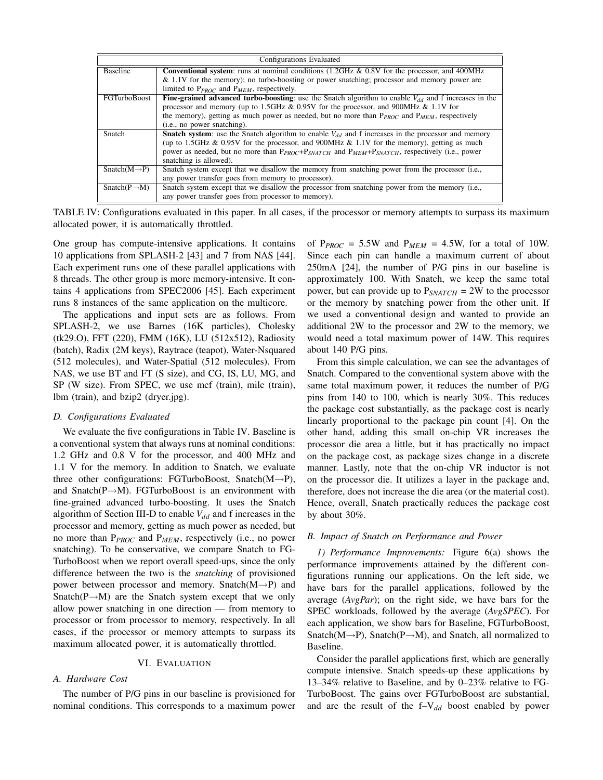|                           | Configurations Evaluated                                                                                              |  |  |
|---------------------------|-----------------------------------------------------------------------------------------------------------------------|--|--|
| <b>Baseline</b>           | <b>Conventional system:</b> runs at nominal conditions $(1.2\text{GHz} \& 0.8\text{V})$ for the processor, and 400MHz |  |  |
|                           | & 1.1V for the memory); no turbo-boosting or power snatching; processor and memory power are                          |  |  |
|                           | limited to $P_{PROC}$ and $P_{MEM}$ , respectively.                                                                   |  |  |
| <b>FGTurboBoost</b>       | <b>Fine-grained advanced turbo-boosting</b> : use the Snatch algorithm to enable $V_{dd}$ and f increases in the      |  |  |
|                           | processor and memory (up to 1.5GHz & 0.95V for the processor, and 900MHz & 1.1V for                                   |  |  |
|                           | the memory), getting as much power as needed, but no more than $P_{PROC}$ and $P_{MEM}$ , respectively                |  |  |
|                           | (i.e., no power snatching).                                                                                           |  |  |
| Snatch                    | <b>Snatch system:</b> use the Snatch algorithm to enable $V_{dd}$ and f increases in the processor and memory         |  |  |
|                           | (up to 1.5GHz & 0.95V for the processor, and 900MHz & 1.1V for the memory), getting as much                           |  |  |
|                           | power as needed, but no more than $P_{PROC}+P_{SMATCH}$ and $P_{MEM}+P_{SMATCH}$ , respectively (i.e., power          |  |  |
|                           | snatching is allowed).                                                                                                |  |  |
| $Snatch(M \rightarrow P)$ | Snatch system except that we disallow the memory from snatching power from the processor (i.e.,                       |  |  |
|                           | any power transfer goes from memory to processor).                                                                    |  |  |
| $Snatch(P \rightarrow M)$ | Snatch system except that we disallow the processor from snatching power from the memory (i.e.,                       |  |  |
|                           | any power transfer goes from processor to memory).                                                                    |  |  |

TABLE IV: Configurations evaluated in this paper. In all cases, if the processor or memory attempts to surpass its maximum allocated power, it is automatically throttled.

One group has compute-intensive applications. It contains 10 applications from SPLASH-2 [43] and 7 from NAS [44]. Each experiment runs one of these parallel applications with 8 threads. The other group is more memory-intensive. It contains 4 applications from SPEC2006 [45]. Each experiment runs 8 instances of the same application on the multicore.

The applications and input sets are as follows. From SPLASH-2, we use Barnes (16K particles), Cholesky (tk29.O), FFT (220), FMM (16K), LU (512x512), Radiosity (batch), Radix (2M keys), Raytrace (teapot), Water-Nsquared (512 molecules), and Water-Spatial (512 molecules). From NAS, we use BT and FT (S size), and CG, IS, LU, MG, and SP (W size). From SPEC, we use mcf (train), milc (train), lbm (train), and bzip2 (dryer.jpg).

### *D. Configurations Evaluated*

We evaluate the five configurations in Table IV. Baseline is a conventional system that always runs at nominal conditions: 1.2 GHz and 0.8 V for the processor, and 400 MHz and 1.1 V for the memory. In addition to Snatch, we evaluate three other configurations: FGTurboBoost, Snatch $(M \rightarrow P)$ , and Snatch( $P \rightarrow M$ ). FGTurboBoost is an environment with fine-grained advanced turbo-boosting. It uses the Snatch algorithm of Section III-D to enable  $V_{dd}$  and f increases in the processor and memory, getting as much power as needed, but no more than P*PROC* and P*MEM*, respectively (i.e., no power snatching). To be conservative, we compare Snatch to FG-TurboBoost when we report overall speed-ups, since the only difference between the two is the *snatching* of provisioned power between processor and memory. Snatch(M→P) and Snatch( $P \rightarrow M$ ) are the Snatch system except that we only allow power snatching in one direction — from memory to processor or from processor to memory, respectively. In all cases, if the processor or memory attempts to surpass its maximum allocated power, it is automatically throttled.

### VI. EVALUATION

#### *A. Hardware Cost*

The number of P/G pins in our baseline is provisioned for nominal conditions. This corresponds to a maximum power of  $P_{PROC} = 5.5W$  and  $P_{MEM} = 4.5W$ , for a total of 10W. Since each pin can handle a maximum current of about 250mA [24], the number of P/G pins in our baseline is approximately 100. With Snatch, we keep the same total power, but can provide up to P*SNATCH* = 2W to the processor or the memory by snatching power from the other unit. If we used a conventional design and wanted to provide an additional 2W to the processor and 2W to the memory, we would need a total maximum power of 14W. This requires about 140 P/G pins.

From this simple calculation, we can see the advantages of Snatch. Compared to the conventional system above with the same total maximum power, it reduces the number of P/G pins from 140 to 100, which is nearly 30%. This reduces the package cost substantially, as the package cost is nearly linearly proportional to the package pin count [4]. On the other hand, adding this small on-chip VR increases the processor die area a little, but it has practically no impact on the package cost, as package sizes change in a discrete manner. Lastly, note that the on-chip VR inductor is not on the processor die. It utilizes a layer in the package and, therefore, does not increase the die area (or the material cost). Hence, overall, Snatch practically reduces the package cost by about 30%.

# *B. Impact of Snatch on Performance and Power*

*1) Performance Improvements:* Figure 6(a) shows the performance improvements attained by the different configurations running our applications. On the left side, we have bars for the parallel applications, followed by the average (*AvgPar*); on the right side, we have bars for the SPEC workloads, followed by the average (*AvgSPEC*). For each application, we show bars for Baseline, FGTurboBoost, Snatch(M→P), Snatch(P→M), and Snatch, all normalized to Baseline.

Consider the parallel applications first, which are generally compute intensive. Snatch speeds-up these applications by 13–34% relative to Baseline, and by 0–23% relative to FG-TurboBoost. The gains over FGTurboBoost are substantial, and are the result of the f–V*dd* boost enabled by power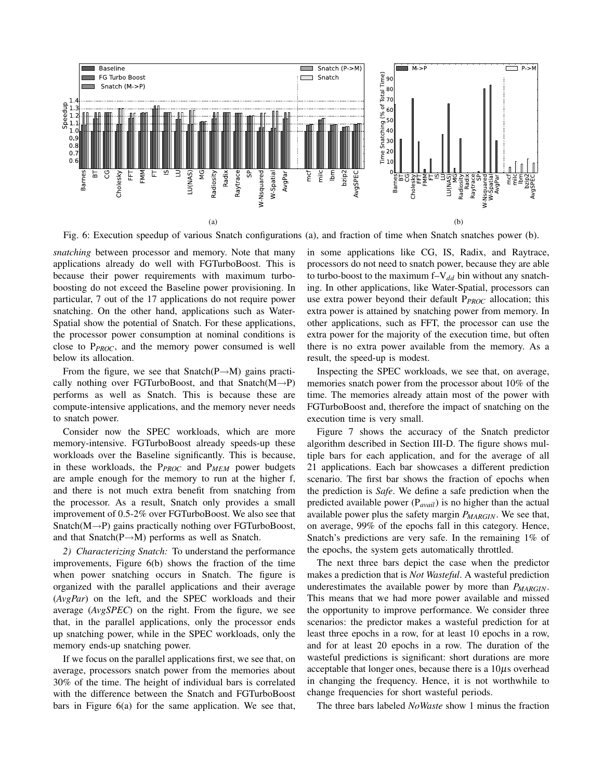

Fig. 6: Execution speedup of various Snatch configurations (a), and fraction of time when Snatch snatches power (b).

*snatching* between processor and memory. Note that many applications already do well with FGTurboBoost. This is because their power requirements with maximum turboboosting do not exceed the Baseline power provisioning. In particular, 7 out of the 17 applications do not require power snatching. On the other hand, applications such as Water-Spatial show the potential of Snatch. For these applications, the processor power consumption at nominal conditions is close to P*PROC*, and the memory power consumed is well below its allocation.

From the figure, we see that Snatch( $P \rightarrow M$ ) gains practically nothing over FGTurboBoost, and that Snatch $(M\rightarrow P)$ performs as well as Snatch. This is because these are compute-intensive applications, and the memory never needs to snatch power.

Consider now the SPEC workloads, which are more memory-intensive. FGTurboBoost already speeds-up these workloads over the Baseline significantly. This is because, in these workloads, the P*PROC* and P*MEM* power budgets are ample enough for the memory to run at the higher f, and there is not much extra benefit from snatching from the processor. As a result, Snatch only provides a small improvement of 0.5-2% over FGTurboBoost. We also see that Snatch( $M\rightarrow P$ ) gains practically nothing over FGTurboBoost, and that Snatch( $P \rightarrow M$ ) performs as well as Snatch.

*2) Characterizing Snatch:* To understand the performance improvements, Figure 6(b) shows the fraction of the time when power snatching occurs in Snatch. The figure is organized with the parallel applications and their average (*AvgPar*) on the left, and the SPEC workloads and their average (*AvgSPEC*) on the right. From the figure, we see that, in the parallel applications, only the processor ends up snatching power, while in the SPEC workloads, only the memory ends-up snatching power.

If we focus on the parallel applications first, we see that, on average, processors snatch power from the memories about 30% of the time. The height of individual bars is correlated with the difference between the Snatch and FGTurboBoost bars in Figure 6(a) for the same application. We see that, in some applications like CG, IS, Radix, and Raytrace, processors do not need to snatch power, because they are able to turbo-boost to the maximum  $f-V_{dd}$  bin without any snatching. In other applications, like Water-Spatial, processors can use extra power beyond their default P*PROC* allocation; this extra power is attained by snatching power from memory. In other applications, such as FFT, the processor can use the extra power for the majority of the execution time, but often there is no extra power available from the memory. As a result, the speed-up is modest.

Inspecting the SPEC workloads, we see that, on average, memories snatch power from the processor about 10% of the time. The memories already attain most of the power with FGTurboBoost and, therefore the impact of snatching on the execution time is very small.

Figure 7 shows the accuracy of the Snatch predictor algorithm described in Section III-D. The figure shows multiple bars for each application, and for the average of all 21 applications. Each bar showcases a different prediction scenario. The first bar shows the fraction of epochs when the prediction is *Safe*. We define a safe prediction when the predicted available power (P*avail*) is no higher than the actual available power plus the safety margin *PMARGIN*. We see that, on average, 99% of the epochs fall in this category. Hence, Snatch's predictions are very safe. In the remaining 1% of the epochs, the system gets automatically throttled.

The next three bars depict the case when the predictor makes a prediction that is *Not Wasteful*. A wasteful prediction underestimates the available power by more than *PMARGIN*. This means that we had more power available and missed the opportunity to improve performance. We consider three scenarios: the predictor makes a wasteful prediction for at least three epochs in a row, for at least 10 epochs in a row, and for at least 20 epochs in a row. The duration of the wasteful predictions is significant: short durations are more acceptable that longer ones, because there is a  $10\mu s$  overhead in changing the frequency. Hence, it is not worthwhile to change frequencies for short wasteful periods.

The three bars labeled *NoWaste* show 1 minus the fraction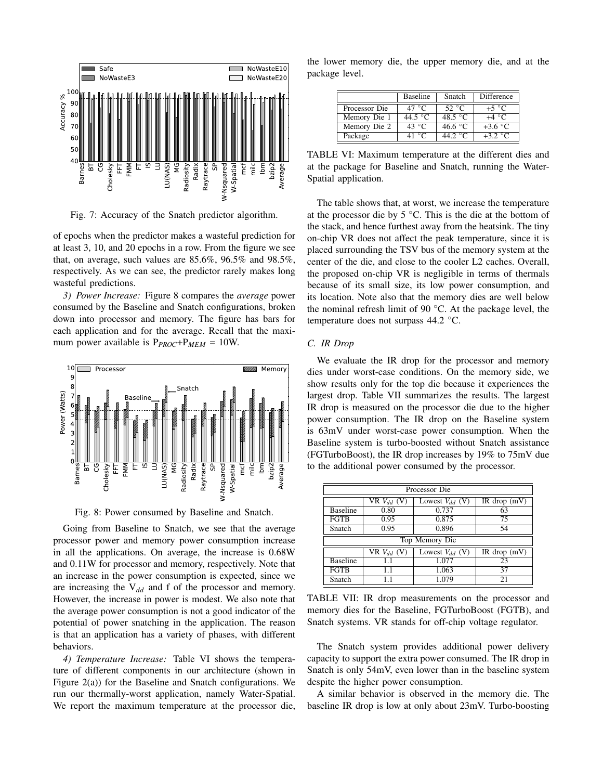

Fig. 7: Accuracy of the Snatch predictor algorithm.

of epochs when the predictor makes a wasteful prediction for at least 3, 10, and 20 epochs in a row. From the figure we see that, on average, such values are 85.6%, 96.5% and 98.5%, respectively. As we can see, the predictor rarely makes long wasteful predictions.

*3) Power Increase:* Figure 8 compares the *average* power consumed by the Baseline and Snatch configurations, broken down into processor and memory. The figure has bars for each application and for the average. Recall that the maximum power available is P*PROC*+P*MEM* = 10W.



Fig. 8: Power consumed by Baseline and Snatch.

Going from Baseline to Snatch, we see that the average processor power and memory power consumption increase in all the applications. On average, the increase is 0.68W and 0.11W for processor and memory, respectively. Note that an increase in the power consumption is expected, since we are increasing the V*dd* and f of the processor and memory. However, the increase in power is modest. We also note that the average power consumption is not a good indicator of the potential of power snatching in the application. The reason is that an application has a variety of phases, with different behaviors.

*4) Temperature Increase:* Table VI shows the temperature of different components in our architecture (shown in Figure 2(a)) for the Baseline and Snatch configurations. We run our thermally-worst application, namely Water-Spatial. We report the maximum temperature at the processor die,

the lower memory die, the upper memory die, and at the package level.

|               | <b>Baseline</b>  | Snatch           | Difference      |
|---------------|------------------|------------------|-----------------|
| Processor Die | 47 °C            | 52 $\degree$ C   | $+5$ °C         |
| Memory Die 1  | $44.5\text{ °C}$ | 48.5 °C          | $+4 °C$         |
| Memory Die 2  | 43 $\degree$ C   | 46.6 $\degree$ C | $+3.6\degree$ C |
| Package       | 41 °C            | 44.2 $\degree$ C | $+3.2\degree$ C |

TABLE VI: Maximum temperature at the different dies and at the package for Baseline and Snatch, running the Water-Spatial application.

The table shows that, at worst, we increase the temperature at the processor die by  $5^{\circ}$ C. This is the die at the bottom of the stack, and hence furthest away from the heatsink. The tiny on-chip VR does not affect the peak temperature, since it is placed surrounding the TSV bus of the memory system at the center of the die, and close to the cooler L2 caches. Overall, the proposed on-chip VR is negligible in terms of thermals because of its small size, its low power consumption, and its location. Note also that the memory dies are well below the nominal refresh limit of 90 $\degree$ C. At the package level, the temperature does not surpass 44.2 ◦C.

# *C. IR Drop*

We evaluate the IR drop for the processor and memory dies under worst-case conditions. On the memory side, we show results only for the top die because it experiences the largest drop. Table VII summarizes the results. The largest IR drop is measured on the processor die due to the higher power consumption. The IR drop on the Baseline system is 63mV under worst-case power consumption. When the Baseline system is turbo-boosted without Snatch assistance (FGTurboBoost), the IR drop increases by 19% to 75mV due to the additional power consumed by the processor.

| Processor Die   |                 |                     |                |  |  |
|-----------------|-----------------|---------------------|----------------|--|--|
|                 | VR $V_{dd}$ (V) | Lowest $V_{dd}$ (V) | IR drop $(mV)$ |  |  |
| <b>Baseline</b> | 0.80            | 0.737               | 63             |  |  |
| <b>FGTB</b>     | 0.95            | 0.875               | 75             |  |  |
| Snatch          | 0.95            | 0.896               | 54             |  |  |
| Top Memory Die  |                 |                     |                |  |  |
|                 | VR $V_{dd}$ (V) | Lowest $V_{dd}$ (V) | $IR$ drop (mV) |  |  |
| <b>Baseline</b> | 1.1             | 1.077               | 23             |  |  |
| <b>FGTB</b>     | 1.1             | 1.063               | 37             |  |  |
| Snatch          |                 | 1.079               | 21             |  |  |

TABLE VII: IR drop measurements on the processor and memory dies for the Baseline, FGTurboBoost (FGTB), and Snatch systems. VR stands for off-chip voltage regulator.

The Snatch system provides additional power delivery capacity to support the extra power consumed. The IR drop in Snatch is only 54mV, even lower than in the baseline system despite the higher power consumption.

A similar behavior is observed in the memory die. The baseline IR drop is low at only about 23mV. Turbo-boosting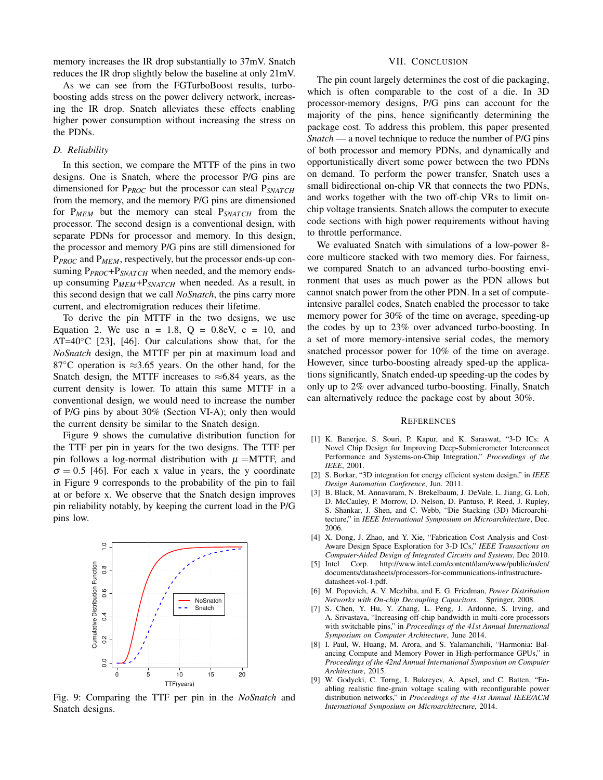memory increases the IR drop substantially to 37mV. Snatch reduces the IR drop slightly below the baseline at only 21mV.

As we can see from the FGTurboBoost results, turboboosting adds stress on the power delivery network, increasing the IR drop. Snatch alleviates these effects enabling higher power consumption without increasing the stress on the PDNs.

# *D. Reliability*

In this section, we compare the MTTF of the pins in two designs. One is Snatch, where the processor P/G pins are dimensioned for P*PROC* but the processor can steal P*SNATCH* from the memory, and the memory P/G pins are dimensioned for P*MEM* but the memory can steal P*SNATCH* from the processor. The second design is a conventional design, with separate PDNs for processor and memory. In this design, the processor and memory P/G pins are still dimensioned for P*PROC* and P*MEM*, respectively, but the processor ends-up consuming P<sub>PROC</sub>+P<sub>SNATCH</sub> when needed, and the memory endsup consuming P*MEM*+P*SNATCH* when needed. As a result, in this second design that we call *NoSnatch*, the pins carry more current, and electromigration reduces their lifetime.

To derive the pin MTTF in the two designs, we use Equation 2. We use  $n = 1.8$ ,  $Q = 0.8$ eV,  $c = 10$ , and ∆T=40◦C [23], [46]. Our calculations show that, for the *NoSnatch* design, the MTTF per pin at maximum load and 87 $\degree$ C operation is ≈3.65 years. On the other hand, for the Snatch design, the MTTF increases to  $\approx 6.84$  years, as the current density is lower. To attain this same MTTF in a conventional design, we would need to increase the number of P/G pins by about 30% (Section VI-A); only then would the current density be similar to the Snatch design.

Figure 9 shows the cumulative distribution function for the TTF per pin in years for the two designs. The TTF per pin follows a log-normal distribution with  $\mu = MTTF$ , and  $\sigma = 0.5$  [46]. For each x value in years, the y coordinate in Figure 9 corresponds to the probability of the pin to fail at or before x. We observe that the Snatch design improves pin reliability notably, by keeping the current load in the P/G pins low.



Fig. 9: Comparing the TTF per pin in the *NoSnatch* and Snatch designs.

#### VII. CONCLUSION

The pin count largely determines the cost of die packaging, which is often comparable to the cost of a die. In 3D processor-memory designs, P/G pins can account for the majority of the pins, hence significantly determining the package cost. To address this problem, this paper presented *Snatch* — a novel technique to reduce the number of P/G pins of both processor and memory PDNs, and dynamically and opportunistically divert some power between the two PDNs on demand. To perform the power transfer, Snatch uses a small bidirectional on-chip VR that connects the two PDNs, and works together with the two off-chip VRs to limit onchip voltage transients. Snatch allows the computer to execute code sections with high power requirements without having to throttle performance.

We evaluated Snatch with simulations of a low-power 8 core multicore stacked with two memory dies. For fairness, we compared Snatch to an advanced turbo-boosting environment that uses as much power as the PDN allows but cannot snatch power from the other PDN. In a set of computeintensive parallel codes, Snatch enabled the processor to take memory power for 30% of the time on average, speeding-up the codes by up to 23% over advanced turbo-boosting. In a set of more memory-intensive serial codes, the memory snatched processor power for 10% of the time on average. However, since turbo-boosting already sped-up the applications significantly, Snatch ended-up speeding-up the codes by only up to 2% over advanced turbo-boosting. Finally, Snatch can alternatively reduce the package cost by about 30%.

### **REFERENCES**

- [1] K. Banerjee, S. Souri, P. Kapur, and K. Saraswat, "3-D ICs: A Novel Chip Design for Improving Deep-Submicrometer Interconnect Performance and Systems-on-Chip Integration," *Proceedings of the IEEE*, 2001.
- [2] S. Borkar, "3D integration for energy efficient system design," in *IEEE Design Automation Conference*, Jun. 2011.
- [3] B. Black, M. Annavaram, N. Brekelbaum, J. DeVale, L. Jiang, G. Loh, D. McCauley, P. Morrow, D. Nelson, D. Pantuso, P. Reed, J. Rupley, S. Shankar, J. Shen, and C. Webb, "Die Stacking (3D) Microarchitecture," in *IEEE International Symposium on Microarchitecture*, Dec. 2006.
- [4] X. Dong, J. Zhao, and Y. Xie, "Fabrication Cost Analysis and Cost-Aware Design Space Exploration for 3-D ICs," *IEEE Transactions on Computer-Aided Design of Integrated Circuits and Systems*, Dec 2010.
- [5] Intel Corp. http://www.intel.com/content/dam/www/public/us/en/ documents/datasheets/processors-for-communications-infrastructuredatasheet-vol-1.pdf.
- [6] M. Popovich, A. V. Mezhiba, and E. G. Friedman, *Power Distribution Networks with On-chip Decoupling Capacitors*. Springer, 2008.
- [7] S. Chen, Y. Hu, Y. Zhang, L. Peng, J. Ardonne, S. Irving, and A. Srivastava, "Increasing off-chip bandwidth in multi-core processors with switchable pins," in *Proceedings of the 41st Annual International Symposium on Computer Architecture*, June 2014.
- [8] I. Paul, W. Huang, M. Arora, and S. Yalamanchili, "Harmonia: Balancing Compute and Memory Power in High-performance GPUs," in *Proceedings of the 42nd Annual International Symposium on Computer Architecture*, 2015.
- [9] W. Godycki, C. Torng, I. Bukreyev, A. Apsel, and C. Batten, "Enabling realistic fine-grain voltage scaling with reconfigurable power distribution networks," in *Proceedings of the 41st Annual IEEE/ACM International Symposium on Microarchitecture*, 2014.